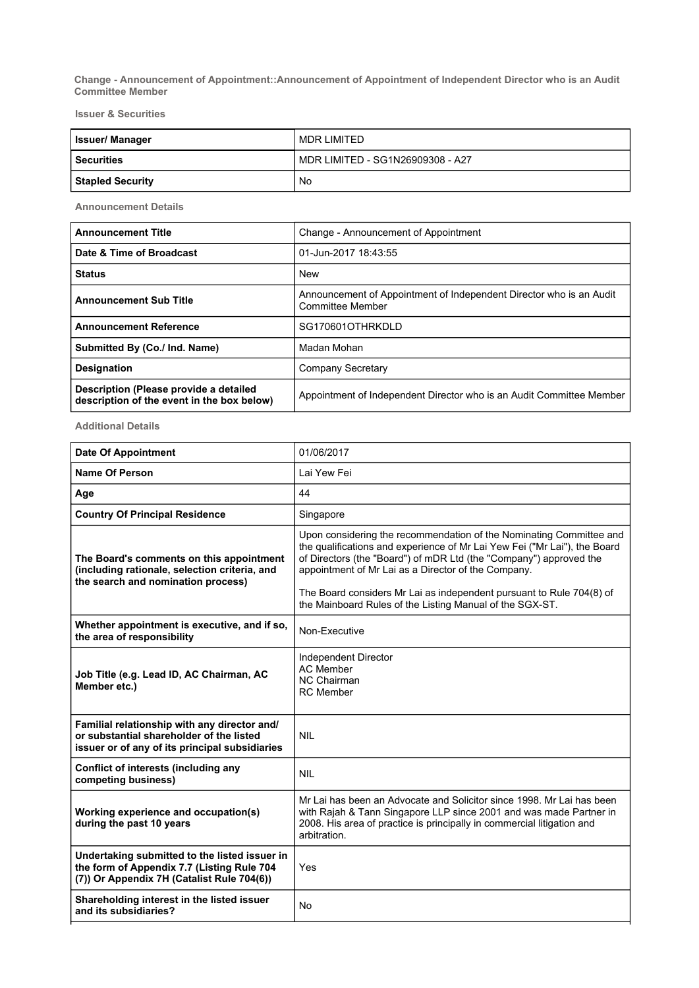Change - Announcement of Appointment::Announcement of Appointment of Independent Director who is an Audit Committee Member

Issuer & Securities

| <b>Issuer/Manager</b>   | MDR LIMITED                      |
|-------------------------|----------------------------------|
| <b>Securities</b>       | MDR LIMITED - SG1N26909308 - A27 |
| <b>Stapled Security</b> | No                               |

Announcement Details

| <b>Announcement Title</b>                                                            | Change - Announcement of Appointment                                                           |
|--------------------------------------------------------------------------------------|------------------------------------------------------------------------------------------------|
| Date & Time of Broadcast                                                             | 01-Jun-2017 18:43:55                                                                           |
| <b>Status</b>                                                                        | <b>New</b>                                                                                     |
| <b>Announcement Sub Title</b>                                                        | Announcement of Appointment of Independent Director who is an Audit<br><b>Committee Member</b> |
| <b>Announcement Reference</b>                                                        | SG170601OTHRKDLD                                                                               |
| Submitted By (Co./ Ind. Name)                                                        | Madan Mohan                                                                                    |
| <b>Designation</b>                                                                   | Company Secretary                                                                              |
| Description (Please provide a detailed<br>description of the event in the box below) | Appointment of Independent Director who is an Audit Committee Member                           |

Additional Details

| <b>Date Of Appointment</b>                                                                                                                 | 01/06/2017                                                                                                                                                                                                                                                                                                                                                                                                        |
|--------------------------------------------------------------------------------------------------------------------------------------------|-------------------------------------------------------------------------------------------------------------------------------------------------------------------------------------------------------------------------------------------------------------------------------------------------------------------------------------------------------------------------------------------------------------------|
| Name Of Person                                                                                                                             | Lai Yew Fei                                                                                                                                                                                                                                                                                                                                                                                                       |
| Age                                                                                                                                        | 44                                                                                                                                                                                                                                                                                                                                                                                                                |
| <b>Country Of Principal Residence</b>                                                                                                      | Singapore                                                                                                                                                                                                                                                                                                                                                                                                         |
| The Board's comments on this appointment<br>(including rationale, selection criteria, and<br>the search and nomination process)            | Upon considering the recommendation of the Nominating Committee and<br>the qualifications and experience of Mr Lai Yew Fei ("Mr Lai"), the Board<br>of Directors (the "Board") of mDR Ltd (the "Company") approved the<br>appointment of Mr Lai as a Director of the Company.<br>The Board considers Mr Lai as independent pursuant to Rule 704(8) of<br>the Mainboard Rules of the Listing Manual of the SGX-ST. |
| Whether appointment is executive, and if so,<br>the area of responsibility                                                                 | Non-Executive                                                                                                                                                                                                                                                                                                                                                                                                     |
| Job Title (e.g. Lead ID, AC Chairman, AC<br>Member etc.)                                                                                   | Independent Director<br><b>AC Member</b><br><b>NC Chairman</b><br><b>RC</b> Member                                                                                                                                                                                                                                                                                                                                |
| Familial relationship with any director and/<br>or substantial shareholder of the listed<br>issuer or of any of its principal subsidiaries | <b>NII</b>                                                                                                                                                                                                                                                                                                                                                                                                        |
| Conflict of interests (including any<br>competing business)                                                                                | <b>NIL</b>                                                                                                                                                                                                                                                                                                                                                                                                        |
| Working experience and occupation(s)<br>during the past 10 years                                                                           | Mr Lai has been an Advocate and Solicitor since 1998. Mr Lai has been<br>with Rajah & Tann Singapore LLP since 2001 and was made Partner in<br>2008. His area of practice is principally in commercial litigation and<br>arbitration.                                                                                                                                                                             |
| Undertaking submitted to the listed issuer in<br>the form of Appendix 7.7 (Listing Rule 704<br>(7)) Or Appendix 7H (Catalist Rule 704(6))  | Yes                                                                                                                                                                                                                                                                                                                                                                                                               |
| Shareholding interest in the listed issuer<br>and its subsidiaries?                                                                        | <b>No</b>                                                                                                                                                                                                                                                                                                                                                                                                         |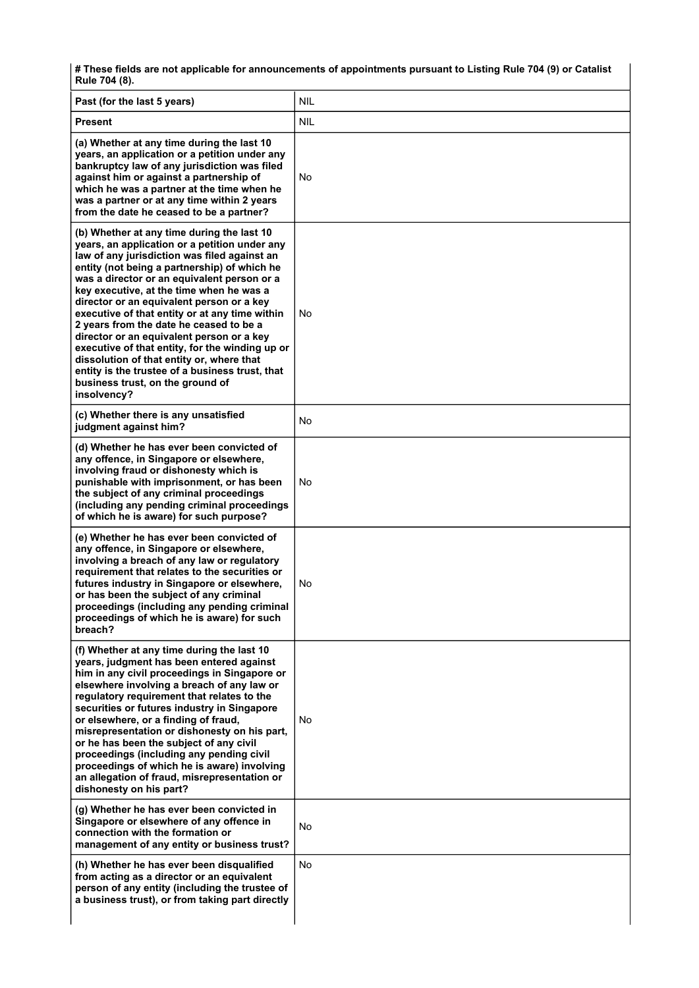# These fields are not applicable for announcements of appointments pursuant to Listing Rule 704 (9) or Catalist Rule 704 (8).

| Past (for the last 5 years)                                                                                                                                                                                                                                                                                                                                                                                                                                                                                                                                                                                                                                                         | <b>NIL</b> |
|-------------------------------------------------------------------------------------------------------------------------------------------------------------------------------------------------------------------------------------------------------------------------------------------------------------------------------------------------------------------------------------------------------------------------------------------------------------------------------------------------------------------------------------------------------------------------------------------------------------------------------------------------------------------------------------|------------|
| <b>Present</b>                                                                                                                                                                                                                                                                                                                                                                                                                                                                                                                                                                                                                                                                      | <b>NIL</b> |
| (a) Whether at any time during the last 10<br>years, an application or a petition under any<br>bankruptcy law of any jurisdiction was filed<br>against him or against a partnership of<br>which he was a partner at the time when he<br>was a partner or at any time within 2 years<br>from the date he ceased to be a partner?                                                                                                                                                                                                                                                                                                                                                     | No         |
| (b) Whether at any time during the last 10<br>years, an application or a petition under any<br>law of any jurisdiction was filed against an<br>entity (not being a partnership) of which he<br>was a director or an equivalent person or a<br>key executive, at the time when he was a<br>director or an equivalent person or a key<br>executive of that entity or at any time within<br>2 years from the date he ceased to be a<br>director or an equivalent person or a key<br>executive of that entity, for the winding up or<br>dissolution of that entity or, where that<br>entity is the trustee of a business trust, that<br>business trust, on the ground of<br>insolvency? | No         |
| (c) Whether there is any unsatisfied<br>judgment against him?                                                                                                                                                                                                                                                                                                                                                                                                                                                                                                                                                                                                                       | No         |
| (d) Whether he has ever been convicted of<br>any offence, in Singapore or elsewhere,<br>involving fraud or dishonesty which is<br>punishable with imprisonment, or has been<br>the subject of any criminal proceedings<br>(including any pending criminal proceedings<br>of which he is aware) for such purpose?                                                                                                                                                                                                                                                                                                                                                                    | No         |
| (e) Whether he has ever been convicted of<br>any offence, in Singapore or elsewhere,<br>involving a breach of any law or regulatory<br>requirement that relates to the securities or<br>futures industry in Singapore or elsewhere,<br>or has been the subject of any criminal<br>proceedings (including any pending criminal<br>proceedings of which he is aware) for such<br>breach?                                                                                                                                                                                                                                                                                              | No         |
| (f) Whether at any time during the last 10<br>years, judgment has been entered against<br>him in any civil proceedings in Singapore or<br>elsewhere involving a breach of any law or<br>regulatory requirement that relates to the<br>securities or futures industry in Singapore<br>or elsewhere, or a finding of fraud,<br>misrepresentation or dishonesty on his part,<br>or he has been the subject of any civil<br>proceedings (including any pending civil<br>proceedings of which he is aware) involving<br>an allegation of fraud, misrepresentation or<br>dishonesty on his part?                                                                                          | No         |
| (g) Whether he has ever been convicted in<br>Singapore or elsewhere of any offence in<br>connection with the formation or<br>management of any entity or business trust?                                                                                                                                                                                                                                                                                                                                                                                                                                                                                                            | No         |
| (h) Whether he has ever been disqualified<br>from acting as a director or an equivalent<br>person of any entity (including the trustee of<br>a business trust), or from taking part directly                                                                                                                                                                                                                                                                                                                                                                                                                                                                                        | No         |